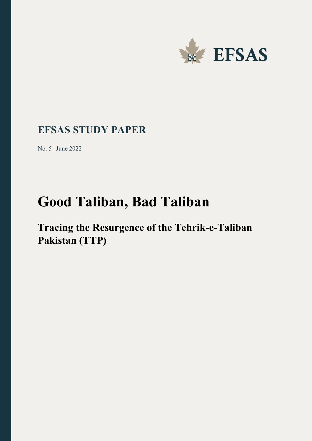

## **EFSAS STUDY PAPER**

No. 5 | June 2022

# **Good Taliban, Bad Taliban**

## **Tracing the Resurgence of the Tehrik-e-Taliban Pakistan (TTP)**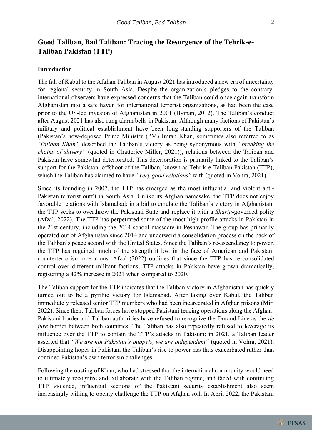### **Good Taliban, Bad Taliban: Tracing the Resurgence of the Tehrik-e-Taliban Pakistan (TTP)**

#### **Introduction**

The fall of Kabul to the Afghan Taliban in August 2021 has introduced a new era of uncertainty for regional security in South Asia. Despite the organization's pledges to the contrary, international observers have expressed concerns that the Taliban could once again transform Afghanistan into a safe haven for international terrorist organizations, as had been the case prior to the US-led invasion of Afghanistan in 2001 (Byman, 2012). The Taliban's conduct after August 2021 has also rung alarm bells in Pakistan. Although many factions of Pakistan's military and political establishment have been long-standing supporters of the Taliban (Pakistan's now-deposed Prime Minister (PM) Imran Khan, sometimes also referred to as *'Taliban Khan'*, described the Taliban's victory as being synonymous with *"breaking the chains of slavery"* (quoted in Chatterjee Miller, 2021)), relations between the Taliban and Pakistan have somewhat deteriorated. This deterioration is primarily linked to the Taliban's support for the Pakistani offshoot of the Taliban, known as Tehrik-e-Taliban Pakistan (TTP), which the Taliban has claimed to have *"very good relations''* with (quoted in Vohra, 2021).

Since its founding in 2007, the TTP has emerged as the most influential and violent anti-Pakistan terrorist outfit in South Asia. Unlike its Afghan namesake, the TTP does not enjoy favorable relations with Islamabad: in a bid to emulate the Taliban's victory in Afghanistan, the TTP seeks to overthrow the Pakistani State and replace it with a *Sharia*-governed polity (Afzal, 2022). The TTP has perpetrated some of the most high-profile attacks in Pakistan in the 21st century, including the 2014 school massacre in Peshawar. The group has primarily operated out of Afghanistan since 2014 and underwent a consolidation process on the back of the Taliban's peace accord with the United States. Since the Taliban's re-ascendancy to power, the TTP has regained much of the strength it lost in the face of American and Pakistani counterterrorism operations. Afzal (2022) outlines that since the TTP has re-consolidated control over different militant factions, TTP attacks in Pakistan have grown dramatically, registering a 42% increase in 2021 when compared to 2020.

The Taliban support for the TTP indicates that the Taliban victory in Afghanistan has quickly turned out to be a pyrrhic victory for Islamabad. After taking over Kabul, the Taliban immediately released senior TTP members who had been incarcerated in Afghan prisons (Mir, 2022). Since then, Taliban forces have stopped Pakistani fencing operations along the Afghan-Pakistani border and Taliban authorities have refused to recognize the Durand Line as the *de jure* border between both countries. The Taliban has also repeatedly refused to leverage its influence over the TTP to contain the TTP's attacks in Pakistan: in 2021, a Taliban leader asserted that *"We are not Pakistan's puppets, we are independent"* (quoted in Vohra, 2021). Disappointing hopes in Pakistan, the Taliban's rise to power has thus exacerbated rather than confined Pakistan's own terrorism challenges.

Following the ousting of Khan, who had stressed that the international community would need to ultimately recognize and collaborate with the Taliban regime, and faced with continuing TTP violence, influential sections of the Pakistani security establishment also seem increasingly willing to openly challenge the TTP on Afghan soil. In April 2022, the Pakistani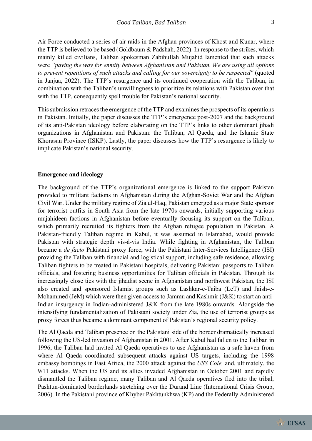Air Force conducted a series of air raids in the Afghan provinces of Khost and Kunar, where the TTP is believed to be based (Goldbaum & Padshah, 2022). In response to the strikes, which mainly killed civilians, Taliban spokesman Zabihullah Mujahid lamented that such attacks were *"paving the way for enmity between Afghanistan and Pakistan. We are using all options to prevent repetitions of such attacks and calling for our sovereignty to be respected"* (quoted in Janjua, 2022). The TTP's resurgence and its continued cooperation with the Taliban, in combination with the Taliban's unwillingness to prioritize its relations with Pakistan over that with the TTP, consequently spell trouble for Pakistan's national security.

This submission retraces the emergence of the TTP and examines the prospects of its operations in Pakistan. Initially, the paper discusses the TTP's emergence post-2007 and the background of its anti-Pakistan ideology before elaborating on the TTP's links to other dominant jihadi organizations in Afghanistan and Pakistan: the Taliban, Al Qaeda, and the Islamic State Khorasan Province (ISKP). Lastly, the paper discusses how the TTP's resurgence is likely to implicate Pakistan's national security.

#### **Emergence and ideology**

The background of the TTP's organizational emergence is linked to the support Pakistan provided to militant factions in Afghanistan during the Afghan-Soviet War and the Afghan Civil War. Under the military regime of Zia ul-Haq, Pakistan emerged as a major State sponsor for terrorist outfits in South Asia from the late 1970s onwards, initially supporting various mujahideen factions in Afghanistan before eventually focusing its support on the Taliban, which primarily recruited its fighters from the Afghan refugee population in Pakistan. A Pakistan-friendly Taliban regime in Kabul, it was assumed in Islamabad, would provide Pakistan with strategic depth vis-à-vis India. While fighting in Afghanistan, the Taliban became a *de facto* Pakistani proxy force, with the Pakistani Inter-Services Intelligence (ISI) providing the Taliban with financial and logistical support, including safe residence, allowing Taliban fighters to be treated in Pakistani hospitals, delivering Pakistani passports to Taliban officials, and fostering business opportunities for Taliban officials in Pakistan. Through its increasingly close ties with the jihadist scene in Afghanistan and northwest Pakistan, the ISI also created and sponsored Islamist groups such as Lashkar-e-Taiba (LeT) and Jaish-e-Mohammed (JeM) which were then given access to Jammu and Kashmir (J&K) to start an anti-Indian insurgency in Indian-administered J&K from the late 1980s onwards. Alongside the intensifying fundamentalization of Pakistani society under Zia, the use of terrorist groups as proxy forces thus became a dominant component of Pakistan's regional security policy.

The Al Qaeda and Taliban presence on the Pakistani side of the border dramatically increased following the US-led invasion of Afghanistan in 2001. After Kabul had fallen to the Taliban in 1996, the Taliban had invited Al Qaeda operatives to use Afghanistan as a safe haven from where Al Qaeda coordinated subsequent attacks against US targets, including the 1998 embassy bombings in East Africa, the 2000 attack against the *USS Cole,* and, ultimately, the 9/11 attacks. When the US and its allies invaded Afghanistan in October 2001 and rapidly dismantled the Taliban regime, many Taliban and Al Qaeda operatives fled into the tribal, Pashtun-dominated borderlands stretching over the Durand Line (International Crisis Group, 2006). In the Pakistani province of Khyber Pakhtunkhwa (KP) and the Federally Administered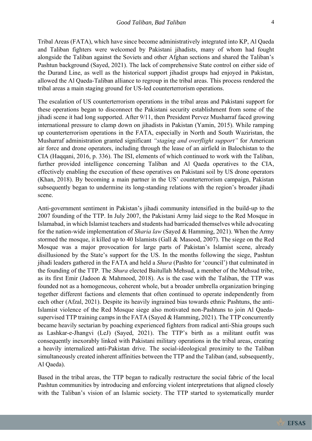Tribal Areas (FATA), which have since become administratively integrated into KP, Al Qaeda

and Taliban fighters were welcomed by Pakistani jihadists, many of whom had fought alongside the Taliban against the Soviets and other Afghan sections and shared the Taliban's Pashtun background (Sayed, 2021). The lack of comprehensive State control on either side of the Durand Line, as well as the historical support jihadist groups had enjoyed in Pakistan, allowed the Al Qaeda-Taliban alliance to regroup in the tribal areas. This process rendered the tribal areas a main staging ground for US-led counterterrorism operations.

The escalation of US counterterrorism operations in the tribal areas and Pakistani support for these operations began to disconnect the Pakistani security establishment from some of the jihadi scene it had long supported. After 9/11, then President Pervez Musharraf faced growing international pressure to clamp down on jihadists in Pakistan (Yamin, 2015). While ramping up counterterrorism operations in the FATA, especially in North and South Waziristan, the Musharraf administration granted significant *"staging and overflight support"* for American air force and drone operators, including through the lease of an airfield in Balochistan to the CIA (Haqqani, 2016, p. 336). The ISI, elements of which continued to work with the Taliban, further provided intelligence concerning Taliban and Al Qaeda operatives to the CIA, effectively enabling the execution of these operatives on Pakistani soil by US drone operators (Khan, 2018). By becoming a main partner in the US' counterterrorism campaign, Pakistan subsequently began to undermine its long-standing relations with the region's broader jihadi scene.

Anti-government sentiment in Pakistan's jihadi community intensified in the build-up to the 2007 founding of the TTP. In July 2007, the Pakistani Army laid siege to the Red Mosque in Islamabad, in which Islamist teachers and students had barricaded themselves while advocating for the nation-wide implementation of *Sharia law* (Sayed & Hamming, 2021). When the Army stormed the mosque, it killed up to 40 Islamists (Gall & Masood, 2007). The siege on the Red Mosque was a major provocation for large parts of Pakistan's Islamist scene, already disillusioned by the State's support for the US. In the months following the siege, Pashtun jihadi leaders gathered in the FATA and held a *Shura* (Pashto for 'council') that culminated in the founding of the TTP. The *Shura* elected Baitullah Mehsud, a member of the Mehsud tribe, as its first Emir (Jadoon & Mahmood, 2018). As is the case with the Taliban, the TTP was founded not as a homogeneous, coherent whole, but a broader umbrella organization bringing together different factions and elements that often continued to operate independently from each other (Afzal, 2021). Despite its heavily ingrained bias towards ethnic Pashtuns, the anti-Islamist violence of the Red Mosque siege also motivated non-Pashtuns to join Al Qaedasupervised TTP training camps in the FATA (Sayed & Hamming, 2021). The TTP concurrently became heavily sectarian by poaching experienced fighters from radical anti-Shia groups such as Lashkar-e-Jhangvi (LeJ) (Sayed, 2021). The TTP's birth as a militant outfit was consequently inexorably linked with Pakistani military operations in the tribal areas, creating a heavily internalized anti-Pakistan drive. The social-ideological proximity to the Taliban simultaneously created inherent affinities between the TTP and the Taliban (and, subsequently, Al Qaeda).

Based in the tribal areas, the TTP began to radically restructure the social fabric of the local Pashtun communities by introducing and enforcing violent interpretations that aligned closely with the Taliban's vision of an Islamic society. The TTP started to systematically murder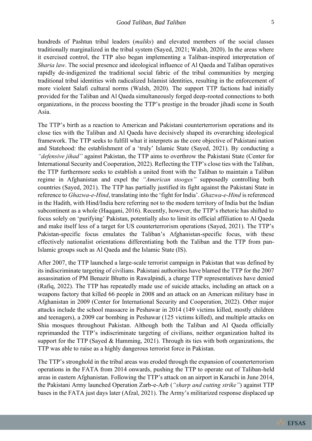hundreds of Pashtun tribal leaders (*maliks*) and elevated members of the social classes traditionally marginalized in the tribal system (Sayed, 2021; Walsh, 2020). In the areas where it exercised control, the TTP also began implementing a Taliban-inspired interpretation of *Sharia law*. The social presence and ideological influence of Al Qaeda and Taliban operatives rapidly de-indigenized the traditional social fabric of the tribal communities by merging traditional tribal identities with radicalized Islamist identities, resulting in the enforcement of more violent Salafi cultural norms (Walsh, 2020). The support TTP factions had initially provided for the Taliban and Al Qaeda simultaneously forged deep-rooted connections to both organizations, in the process boosting the TTP's prestige in the broader jihadi scene in South Asia.

The TTP's birth as a reaction to American and Pakistani counterterrorism operations and its close ties with the Taliban and Al Qaeda have decisively shaped its overarching ideological framework. The TTP seeks to fulfill what it interprets as the core objective of Pakistani nation and Statehood: the establishment of a 'truly' Islamic State (Sayed, 2021). By conducting a *"defensive jihad"* against Pakistan, the TTP aims to overthrow the Pakistani State (Center for International Security and Cooperation, 2022). Reflecting the TTP's close ties with the Taliban, the TTP furthermore seeks to establish a united front with the Taliban to maintain a Taliban regime in Afghanistan and expel the *"American stooges"* supposedly controlling both countries (Sayed, 2021). The TTP has partially justified its fight against the Pakistani State in reference to *Ghazwa-e-Hind*, translating into the 'fight for India'. *Ghazwa-e-Hind* is referenced in the Hadith, with Hind/India here referring not to the modern territory of India but the Indian subcontinent as a whole (Haqqani, 2016). Recently, however, the TTP's rhetoric has shifted to focus solely on 'purifying' Pakistan, potentially also to limit its official affiliation to Al Qaeda and make itself less of a target for US counterterrorism operations (Sayed, 2021). The TTP's Pakistan-specific focus emulates the Taliban's Afghanistan-specific focus, with these effectively nationalist orientations differentiating both the Taliban and the TTP from pan-Islamic groups such as Al Qaeda and the Islamic State (IS).

After 2007, the TTP launched a large-scale terrorist campaign in Pakistan that was defined by its indiscriminate targeting of civilians. Pakistani authorities have blamed the TTP for the 2007 assassination of PM Benazir Bhutto in Rawalpindi, a charge TTP representatives have denied (Rafiq, 2022). The TTP has repeatedly made use of suicide attacks, including an attack on a weapons factory that killed 66 people in 2008 and an attack on an American military base in Afghanistan in 2009 (Center for International Security and Cooperation, 2022). Other major attacks include the school massacre in Peshawar in 2014 (149 victims killed, mostly children and teenagers), a 2009 car bombing in Peshawar (125 victims killed), and multiple attacks on Shia mosques throughout Pakistan. Although both the Taliban and Al Qaeda officially reprimanded the TTP's indiscriminate targeting of civilians, neither organization halted its support for the TTP (Sayed & Hamming, 2021). Through its ties with both organizations, the TTP was able to raise as a highly dangerous terrorist force in Pakistan.

The TTP's stronghold in the tribal areas was eroded through the expansion of counterterrorism operations in the FATA from 2014 onwards, pushing the TTP to operate out of Taliban-held areas in eastern Afghanistan. Following the TTP's attack on an airport in Karachi in June 2014, the Pakistani Army launched Operation Zarb-e-Azb (*"sharp and cutting strike"*) against TTP bases in the FATA just days later (Afzal, 2021). The Army's militarized response displaced up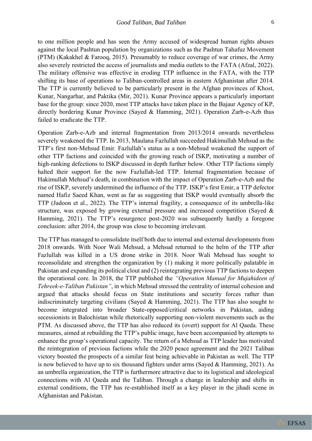to one million people and has seen the Army accused of widespread human rights abuses against the local Pashtun population by organizations such as the Pashtun Tahafuz Movement (PTM) (Kakakhel & Farooq, 2015). Presumably to reduce coverage of war crimes, the Army also severely restricted the access of journalists and media outlets to the FATA (Afzal, 2022). The military offensive was effective in eroding TTP influence in the FATA, with the TTP shifting its base of operations to Taliban-controlled areas in eastern Afghanistan after 2014. The TTP is currently believed to be particularly present in the Afghan provinces of Khost, Kunar, Nangarhar, and Paktika (Mir, 2021). Kunar Province appears a particularly important base for the group: since 2020, most TTP attacks have taken place in the Bajaur Agency of KP, directly bordering Kunar Province (Sayed & Hamming, 2021). Operation Zarb-e-Azb thus failed to eradicate the TTP.

Operation Zarb-e-Azb and internal fragmentation from 2013/2014 onwards nevertheless severely weakened the TTP. In 2013, Maulana Fazlullah succeeded Hakimullah Mehsud as the TTP's first non-Mehsud Emir. Fazlullah's status as a non-Mehsud weakened the support of other TTP factions and coincided with the growing reach of ISKP, motivating a number of high-ranking defections to ISKP discussed in depth further below. Other TTP factions simply halted their support for the now Fazlullah-led TTP. Internal fragmentation because of Hakimullah Mehsud's death, in combination with the impact of Operation Zarb-e-Azb and the rise of ISKP, severely undermined the influence of the TTP. ISKP's first Emir, a TTP defector named Hafiz Saeed Khan, went as far as suggesting that ISKP would eventually absorb the TTP (Jadoon et al., 2022). The TTP's internal fragility, a consequence of its umbrella-like structure, was exposed by growing external pressure and increased competition (Sayed & Hamming, 2021). The TTP's resurgence post-2020 was subsequently hardly a foregone conclusion: after 2014, the group was close to becoming irrelevant.

The TTP has managed to consolidate itself both due to internal and external developments from 2018 onwards. With Noor Wali Mehsud, a Mehsud returned to the helm of the TTP after Fazlullah was killed in a US drone strike in 2018. Noor Wali Mehsud has sought to reconsolidate and strengthen the organization by (1) making it more politically palatable in Pakistan and expanding its political clout and (2) reintegrating previous TTP factions to deepen the operational core. In 2018, the TTP published the *"Operation Manual for Mujahideen of Tehreek-e-Taliban Pakistan"*, in which Mehsud stressed the centrality of internal cohesion and argued that attacks should focus on State institutions and security forces rather than indiscriminately targeting civilians (Sayed & Hamming, 2021). The TTP has also sought to become integrated into broader State-opposed/critical networks in Pakistan, aiding secessionists in Balochistan while rhetorically supporting non-violent movements such as the PTM. As discussed above, the TTP has also reduced its (overt) support for Al Qaeda. These measures, aimed at rebuilding the TTP's public image, have been accompanied by attempts to enhance the group's operational capacity. The return of a Mehsud as TTP leader has motivated the reintegration of previous factions while the 2020 peace agreement and the 2021 Taliban victory boosted the prospects of a similar feat being achievable in Pakistan as well. The TTP is now believed to have up to six thousand fighters under arms (Sayed & Hamming, 2021). As an umbrella organization, the TTP is furthermore attractive due to its logistical and ideological connections with Al Qaeda and the Taliban. Through a change in leadership and shifts in external conditions, the TTP has re-established itself as a key player in the jihadi scene in Afghanistan and Pakistan.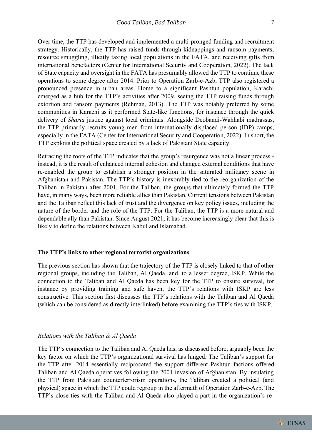Over time, the TTP has developed and implemented a multi-pronged funding and recruitment strategy. Historically, the TTP has raised funds through kidnappings and ransom payments, resource smuggling, illicitly taxing local populations in the FATA, and receiving gifts from international benefactors (Center for International Security and Cooperation, 2022). The lack of State capacity and oversight in the FATA has presumably allowed the TTP to continue these operations to some degree after 2014. Prior to Operation Zarb-e-Azb, TTP also registered a pronounced presence in urban areas. Home to a significant Pashtun population, Karachi emerged as a hub for the TTP's activities after 2009, seeing the TTP raising funds through extortion and ransom payments (Rehman, 2013). The TTP was notably preferred by some communities in Karachi as it performed State-like functions, for instance through the quick delivery of *Sharia* justice against local criminals. Alongside Deobandi-Wahhabi madrassas, the TTP primarily recruits young men from internationally displaced person (IDP) camps, especially in the FATA (Center for International Security and Cooperation, 2022). In short, the TTP exploits the political space created by a lack of Pakistani State capacity.

Retracing the roots of the TTP indicates that the group's resurgence was not a linear process instead, it is the result of enhanced internal cohesion and changed external conditions that have re-enabled the group to establish a stronger position in the saturated militancy scene in Afghanistan and Pakistan. The TTP's history is inexorably tied to the reorganization of the Taliban in Pakistan after 2001. For the Taliban, the groups that ultimately formed the TTP have, in many ways, been more reliable allies than Pakistan. Current tensions between Pakistan and the Taliban reflect this lack of trust and the divergence on key policy issues, including the nature of the border and the role of the TTP. For the Taliban, the TTP is a more natural and dependable ally than Pakistan. Since August 2021, it has become increasingly clear that this is likely to define the relations between Kabul and Islamabad.

#### **The TTP's links to other regional terrorist organizations**

The previous section has shown that the trajectory of the TTP is closely linked to that of other regional groups, including the Taliban, Al Qaeda, and, to a lesser degree, ISKP. While the connection to the Taliban and Al Qaeda has been key for the TTP to ensure survival, for instance by providing training and safe haven, the TTP's relations with ISKP are less constructive. This section first discusses the TTP's relations with the Taliban and Al Qaeda (which can be considered as directly interlinked) before examining the TTP's ties with ISKP.

#### *Relations with the Taliban & Al Qaeda*

The TTP's connection to the Taliban and Al Qaeda has, as discussed before, arguably been the key factor on which the TTP's organizational survival has hinged. The Taliban's support for the TTP after 2014 essentially reciprocated the support different Pashtun factions offered Taliban and Al Qaeda operatives following the 2001 invasion of Afghanistan. By insulating the TTP from Pakistani counterterrorism operations, the Taliban created a political (and physical) space in which the TTP could regroup in the aftermath of Operation Zarb-e-Azb. The TTP's close ties with the Taliban and Al Qaeda also played a part in the organization's re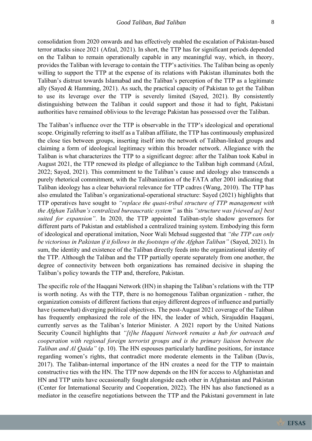consolidation from 2020 onwards and has effectively enabled the escalation of Pakistan-based terror attacks since 2021 (Afzal, 2021). In short, the TTP has for significant periods depended on the Taliban to remain operationally capable in any meaningful way, which, in theory, provides the Taliban with leverage to contain the TTP's activities. The Taliban being as openly willing to support the TTP at the expense of its relations with Pakistan illuminates both the Taliban's distrust towards Islamabad and the Taliban's perception of the TTP as a legitimate ally (Sayed & Hamming, 2021). As such, the practical capacity of Pakistan to get the Taliban to use its leverage over the TTP is severely limited (Sayed, 2021). By consistently distinguishing between the Taliban it could support and those it had to fight, Pakistani authorities have remained oblivious to the leverage Pakistan has possessed over the Taliban.

The Taliban's influence over the TTP is observable in the TTP's ideological and operational scope. Originally referring to itself as a Taliban affiliate, the TTP has continuously emphasized the close ties between groups, inserting itself into the network of Taliban-linked groups and claiming a form of ideological legitimacy within this broader network. Allegiance with the Taliban is what characterizes the TTP to a significant degree: after the Taliban took Kabul in August 2021, the TTP renewed its pledge of allegiance to the Taliban high command (Afzal, 2022; Sayed, 2021). This commitment to the Taliban's cause and ideology also transcends a purely rhetorical commitment, with the Talibanization of the FATA after 2001 indicating that Taliban ideology has a clear behavioral relevance for TTP cadres (Wang, 2010). The TTP has also emulated the Taliban's organizational-operational structure: Sayed (2021) highlights that TTP operatives have sought to *"replace the quasi-tribal structure of TTP management with the Afghan Taliban's centralized bureaucratic system"* as this *"structure was [viewed as] best suited for expansion"*. In 2020, the TTP appointed Taliban-style shadow governors for different parts of Pakistan and established a centralized training system. Embodying this form of ideological and operational imitation, Noor Wali Mehsud suggested that *"the TTP can only be victorious in Pakistan if it follows in the footsteps of the Afghan Taliban"* (Sayed, 2021). In sum, the identity and existence of the Taliban directly feeds into the organizational identity of the TTP. Although the Taliban and the TTP partially operate separately from one another, the degree of connectivity between both organizations has remained decisive in shaping the Taliban's policy towards the TTP and, therefore, Pakistan.

The specific role of the Haqqani Network (HN) in shaping the Taliban's relations with the TTP is worth noting. As with the TTP, there is no homogenous Taliban organization - rather, the organization consists of different factions that enjoy different degrees of influence and partially have (somewhat) diverging political objectives. The post-August 2021 coverage of the Taliban has frequently emphasized the role of the HN, the leader of which, Sirajuddin Haqqani, currently serves as the Taliban's Interior Minister. A 2021 report by the United Nations Security Council highlights that *"[t]he Haqqani Network remains a hub for outreach and cooperation with regional foreign terrorist groups and is the primary liaison between the Taliban and Al Qaida"* (p. 10). The HN espouses particularly hardline positions, for instance regarding women's rights, that contradict more moderate elements in the Taliban (Davis, 2017). The Taliban-internal importance of the HN creates a need for the TTP to maintain constructive ties with the HN. The TTP now depends on the HN for access to Afghanistan and HN and TTP units have occasionally fought alongside each other in Afghanistan and Pakistan (Center for International Security and Cooperation, 2022). The HN has also functioned as a mediator in the ceasefire negotiations between the TTP and the Pakistani government in late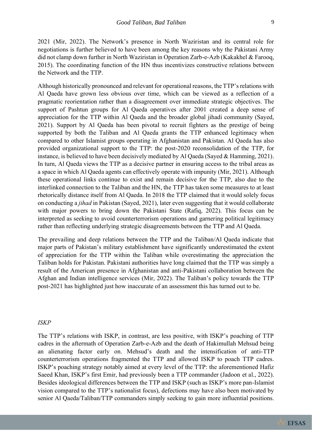2021 (Mir, 2022). The Network's presence in North Waziristan and its central role for negotiations is further believed to have been among the key reasons why the Pakistani Army did not clamp down further in North Waziristan in Operation Zarb-e-Azb (Kakakhel & Farooq, 2015). The coordinating function of the HN thus incentivizes constructive relations between the Network and the TTP.

Although historically pronounced and relevant for operational reasons, the TTP's relations with Al Qaeda have grown less obvious over time, which can be viewed as a reflection of a pragmatic reorientation rather than a disagreement over immediate strategic objectives. The support of Pashtun groups for Al Qaeda operatives after 2001 created a deep sense of appreciation for the TTP within Al Qaeda and the broader global jihadi community (Sayed, 2021). Support by Al Qaeda has been pivotal to recruit fighters as the prestige of being supported by both the Taliban and Al Qaeda grants the TTP enhanced legitimacy when compared to other Islamist groups operating in Afghanistan and Pakistan. Al Qaeda has also provided organizational support to the TTP: the post-2020 reconsolidation of the TTP, for instance, is believed to have been decisively mediated by Al Qaeda (Sayed & Hamming, 2021). In turn, Al Qaeda views the TTP as a decisive partner in ensuring access to the tribal areas as a space in which Al Qaeda agents can effectively operate with impunity (Mir, 2021). Although these operational links continue to exist and remain decisive for the TTP, also due to the interlinked connection to the Taliban and the HN, the TTP has taken some measures to at least rhetorically distance itself from Al Qaeda. In 2018 the TTP claimed that it would solely focus on conducting a *jihad* in Pakistan (Sayed, 2021), later even suggesting that it would collaborate with major powers to bring down the Pakistani State (Rafiq, 2022). This focus can be interpreted as seeking to avoid counterterrorism operations and garnering political legitimacy rather than reflecting underlying strategic disagreements between the TTP and Al Qaeda.

The prevailing and deep relations between the TTP and the Taliban/Al Qaeda indicate that major parts of Pakistan's military establishment have significantly underestimated the extent of appreciation for the TTP within the Taliban while overestimating the appreciation the Taliban holds for Pakistan. Pakistani authorities have long claimed that the TTP was simply a result of the American presence in Afghanistan and anti-Pakistani collaboration between the Afghan and Indian intelligence services (Mir, 2022). The Taliban's policy towards the TTP post-2021 has highlighted just how inaccurate of an assessment this has turned out to be.

#### *ISKP*

The TTP's relations with ISKP, in contrast, are less positive, with ISKP's poaching of TTP cadres in the aftermath of Operation Zarb-e-Azb and the death of Hakimullah Mehsud being an alienating factor early on. Mehsud's death and the intensification of anti-TTP counterterrorism operations fragmented the TTP and allowed ISKP to poach TTP cadres. ISKP's poaching strategy notably aimed at every level of the TTP: the aforementioned Hafiz Saeed Khan, ISKP's first Emir, had previously been a TTP commander (Jadoon et al., 2022). Besides ideological differences between the TTP and ISKP (such as ISKP's more pan-Islamist vision compared to the TTP's nationalist focus), defections may have also been motivated by senior Al Qaeda/Taliban/TTP commanders simply seeking to gain more influential positions.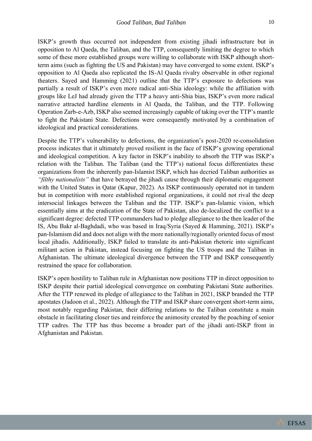ISKP's growth thus occurred not independent from existing jihadi infrastructure but in opposition to Al Qaeda, the Taliban, and the TTP, consequently limiting the degree to which some of these more established groups were willing to collaborate with ISKP although shortterm aims (such as fighting the US and Pakistan) may have converged to some extent. ISKP's opposition to Al Qaeda also replicated the IS-Al Qaeda rivalry observable in other regional theaters. Sayed and Hamming (2021) outline that the TTP's exposure to defections was partially a result of ISKP's even more radical anti-Shia ideology: while the affiliation with groups like LeJ had already given the TTP a heavy anti-Shia bias, ISKP's even more radical narrative attracted hardline elements in Al Qaeda, the Taliban, and the TTP. Following Operation Zarb-e-Azb, ISKP also seemed increasingly capable of taking over the TTP's mantle to fight the Pakistani State. Defections were consequently motivated by a combination of ideological and practical considerations.

Despite the TTP's vulnerability to defections, the organization's post-2020 re-consolidation process indicates that it ultimately proved resilient in the face of ISKP's growing operational and ideological competition. A key factor in ISKP's inability to absorb the TTP was ISKP's relation with the Taliban. The Taliban (and the TTP's) national focus differentiates these organizations from the inherently pan-Islamist ISKP, which has decried Taliban authorities as *"filthy nationalists"* that have betrayed the jihadi cause through their diplomatic engagement with the United States in Qatar (Kapur, 2022). As ISKP continuously operated not in tandem but in competition with more established regional organizations, it could not rival the deep intersocial linkages between the Taliban and the TTP. ISKP's pan-Islamic vision, which essentially aims at the eradication of the State of Pakistan, also de-localized the conflict to a significant degree: defected TTP commanders had to pledge allegiance to the then leader of the IS, Abu Bakr al-Baghdadi, who was based in Iraq/Syria (Sayed & Hamming, 2021). ISKP's pan-Islamism did and does not align with the more nationally/regionally oriented focus of most local jihadis. Additionally, ISKP failed to translate its anti-Pakistan rhetoric into significant militant action in Pakistan, instead focusing on fighting the US troops and the Taliban in Afghanistan. The ultimate ideological divergence between the TTP and ISKP consequently restrained the space for collaboration.

ISKP's open hostility to Taliban rule in Afghanistan now positions TTP in direct opposition to ISKP despite their partial ideological convergence on combating Pakistani State authorities. After the TTP renewed its pledge of allegiance to the Taliban in 2021, ISKP branded the TTP apostates (Jadoon et al., 2022). Although the TTP and ISKP share convergent short-term aims, most notably regarding Pakistan, their differing relations to the Taliban constitute a main obstacle in facilitating closer ties and reinforce the animosity created by the poaching of senior TTP cadres. The TTP has thus become a broader part of the jihadi anti-ISKP front in Afghanistan and Pakistan.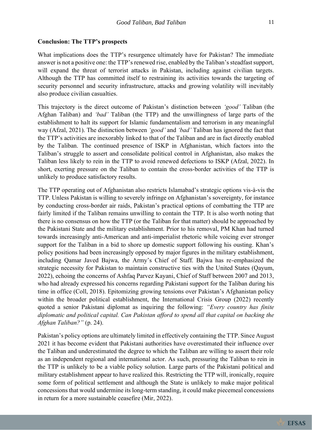#### **Conclusion: The TTP's prospects**

What implications does the TTP's resurgence ultimately have for Pakistan? The immediate answer is not a positive one: the TTP's renewed rise, enabled by the Taliban's steadfast support, will expand the threat of terrorist attacks in Pakistan, including against civilian targets. Although the TTP has committed itself to restraining its activities towards the targeting of security personnel and security infrastructure, attacks and growing volatility will inevitably also produce civilian casualties.

This trajectory is the direct outcome of Pakistan's distinction between *'good'* Taliban (the Afghan Taliban) and *'bad'* Taliban (the TTP) and the unwillingness of large parts of the establishment to halt its support for Islamic fundamentalism and terrorism in any meaningful way (Afzal, 2021). The distinction between *'good'* and *'bad'* Taliban has ignored the fact that the TTP's activities are inexorably linked to that of the Taliban and are in fact directly enabled by the Taliban. The continued presence of ISKP in Afghanistan, which factors into the Taliban's struggle to assert and consolidate political control in Afghanistan, also makes the Taliban less likely to rein in the TTP to avoid renewed defections to ISKP (Afzal, 2022). In short, exerting pressure on the Taliban to contain the cross-border activities of the TTP is unlikely to produce satisfactory results.

The TTP operating out of Afghanistan also restricts Islamabad's strategic options vis-à-vis the TTP. Unless Pakistan is willing to severely infringe on Afghanistan's sovereignty, for instance by conducting cross-border air raids, Pakistan's practical options of combatting the TTP are fairly limited if the Taliban remains unwilling to contain the TTP. It is also worth noting that there is no consensus on how the TTP (or the Taliban for that matter) should be approached by the Pakistani State and the military establishment. Prior to his removal, PM Khan had turned towards increasingly anti-American and anti-imperialist rhetoric while voicing ever stronger support for the Taliban in a bid to shore up domestic support following his ousting. Khan's policy positions had been increasingly opposed by major figures in the military establishment, including Qamar Javed Bajwa, the Army's Chief of Staff. Bajwa has re-emphasized the strategic necessity for Pakistan to maintain constructive ties with the United States (Qayum, 2022), echoing the concerns of Ashfaq Parvez Kayani, Chief of Staff between 2007 and 2013, who had already expressed his concerns regarding Pakistani support for the Taliban during his time in office (Coll, 2018). Epitomizing growing tensions over Pakistan's Afghanistan policy within the broader political establishment, the International Crisis Group (2022) recently quoted a senior Pakistani diplomat as inquiring the following: *"Every country has finite diplomatic and political capital. Can Pakistan afford to spend all that capital on backing the Afghan Taliban?"* (p. 24).

Pakistan's policy options are ultimately limited in effectively containing the TTP. Since August 2021 it has become evident that Pakistani authorities have overestimated their influence over the Taliban and underestimated the degree to which the Taliban are willing to assert their role as an independent regional and international actor. As such, pressuring the Taliban to rein in the TTP is unlikely to be a viable policy solution. Large parts of the Pakistani political and military establishment appear to have realized this. Restricting the TTP will, ironically, require some form of political settlement and although the State is unlikely to make major political concessions that would undermine its long-term standing, it could make piecemeal concessions in return for a more sustainable ceasefire (Mir, 2022).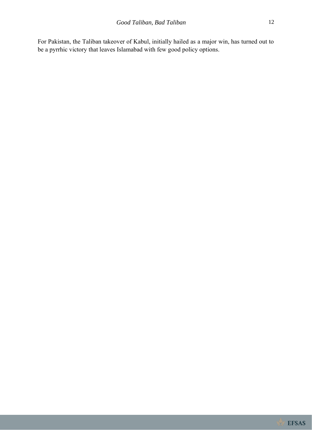For Pakistan, the Taliban takeover of Kabul, initially hailed as a major win, has turned out to be a pyrrhic victory that leaves Islamabad with few good policy options.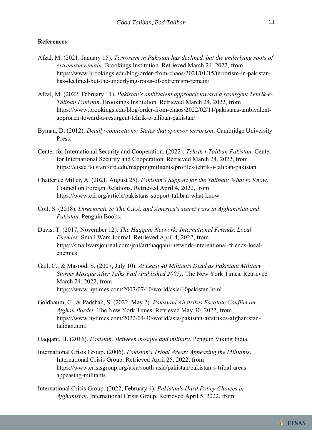#### **References**

- Afzal, M. (2021, January 15). *Terrorism in Pakistan has declined, but the underlying roots of extremism remain*. Brookings Institution. Retrieved March 24, 2022, from https://www.brookings.edu/blog/order-from-chaos/2021/01/15/terrorism-in-pakistanhas-declined-but-the-underlying-roots-of-extremism-remain/
- Afzal, M. (2022, February 11). *Pakistan's ambivalent approach toward a resurgent Tehrik-e-Taliban Pakistan*. Brookings Institution. Retrieved March 24, 2022, from https://www.brookings.edu/blog/order-from-chaos/2022/02/11/pakistans-ambivalentapproach-toward-a-resurgent-tehrik-e-taliban-pakistan/
- Byman, D. (2012). *Deadly connections: States that sponsor terrorism*. Cambridge University Press.
- Center for International Security and Cooperation. (2022). *Tehrik-i-Taliban Pakistan*. Center for International Security and Cooperation. Retrieved March 24, 2022, from https://cisac.fsi.stanford.edu/mappingmilitants/profiles/tehrik-i-taliban-pakistan
- Chatterjee Miller, A. (2021, August 25). *Pakistan's Support for the Taliban: What to Know*. Council on Foreign Relations. Retrieved April 4, 2022, from https://www.cfr.org/article/pakistans-support-taliban-what-know
- Coll, S. (2018). *Directorate S: The C.I.A. and America's secret wars in Afghanistan and Pakistan*. Penguin Books.
- Davis, T. (2017, November 12). *The Haqqani Network: International Friends, Local Enemies*. Small Wars Journal. Retrieved April 4, 2022, from https://smallwarsjournal.com/jrnl/art/haqqani-network-international-friends-localenemies
- Gall, C., & Masood, S. (2007, July 10). *At Least 40 Militants Dead as Pakistani Military Storms Mosque After Talks Fail (Published 2007)*. The New York Times. Retrieved March 24, 2022, from https://www.nytimes.com/2007/07/10/world/asia/10pakistan.html
- Goldbaum, C., & Padshah, S. (2022, May 2). *Pakistani Airstrikes Escalate Conflict on Afghan Border*. The New York Times. Retrieved May 30, 2022, from https://www.nytimes.com/2022/04/30/world/asia/pakistan-airstrikes-afghanistantaliban.html
- Haqqani, H. (2016). *Pakistan: Between mosque and military*. Penguin Viking India.
- International Crisis Group. (2006). *Pakistan's Tribal Areas: Appeasing the Militants*. International Crisis Group. Retrieved April 25, 2022, from https://www.crisisgroup.org/asia/south-asia/pakistan/pakistan-s-tribal-areasappeasing-militants
- International Crisis Group. (2022, February 4). *Pakistan's Hard Policy Choices in Afghanistan*. International Crisis Group. Retrieved April 5, 2022, from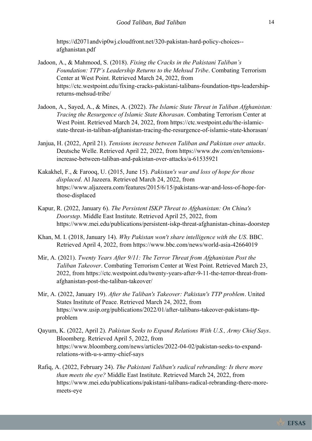https://d2071andvip0wj.cloudfront.net/320-pakistan-hard-policy-choices- afghanistan.pdf

- Jadoon, A., & Mahmood, S. (2018). *Fixing the Cracks in the Pakistani Taliban's Foundation: TTP's Leadership Returns to the Mehsud Tribe*. Combating Terrorism Center at West Point. Retrieved March 24, 2022, from https://ctc.westpoint.edu/fixing-cracks-pakistani-talibans-foundation-ttps-leadershipreturns-mehsud-tribe/
- Jadoon, A., Sayed, A., & Mines, A. (2022). *The Islamic State Threat in Taliban Afghanistan: Tracing the Resurgence of Islamic State Khorasan*. Combating Terrorism Center at West Point. Retrieved March 24, 2022, from https://ctc.westpoint.edu/the-islamicstate-threat-in-taliban-afghanistan-tracing-the-resurgence-of-islamic-state-khorasan/
- Janjua, H. (2022, April 21). *Tensions increase between Taliban and Pakistan over attacks*. Deutsche Welle. Retrieved April 22, 2022, from https://www.dw.com/en/tensionsincrease-between-taliban-and-pakistan-over-attacks/a-61535921
- Kakakhel, F., & Farooq, U. (2015, June 15). *Pakistan's war and loss of hope for those displaced*. Al Jazeera. Retrieved March 24, 2022, from https://www.aljazeera.com/features/2015/6/15/pakistans-war-and-loss-of-hope-forthose-displaced
- Kapur, R. (2022, January 6). *The Persistent ISKP Threat to Afghanistan: On China's Doorstep*. Middle East Institute. Retrieved April 25, 2022, from https://www.mei.edu/publications/persistent-iskp-threat-afghanistan-chinas-doorstep
- Khan, M. I. (2018, January 14). *Why Pakistan won't share intelligence with the US*. BBC. Retrieved April 4, 2022, from https://www.bbc.com/news/world-asia-42664019
- Mir, A. (2021). *Twenty Years After 9/11: The Terror Threat from Afghanistan Post the Taliban Takeover*. Combating Terrorism Center at West Point. Retrieved March 23, 2022, from https://ctc.westpoint.edu/twenty-years-after-9-11-the-terror-threat-fromafghanistan-post-the-taliban-takeover/
- Mir, A. (2022, January 19). *After the Taliban's Takeover: Pakistan's TTP problem*. United States Institute of Peace. Retrieved March 24, 2022, from https://www.usip.org/publications/2022/01/after-talibans-takeover-pakistans-ttpproblem
- Qayum, K. (2022, April 2). *Pakistan Seeks to Expand Relations With U.S., Army Chief Says*. Bloomberg. Retrieved April 5, 2022, from https://www.bloomberg.com/news/articles/2022-04-02/pakistan-seeks-to-expandrelations-with-u-s-army-chief-says
- Rafiq, A. (2022, February 24). *The Pakistani Taliban's radical rebranding: Is there more than meets the eye?* Middle East Institute. Retrieved March 24, 2022, from https://www.mei.edu/publications/pakistani-talibans-radical-rebranding-there-moremeets-eye